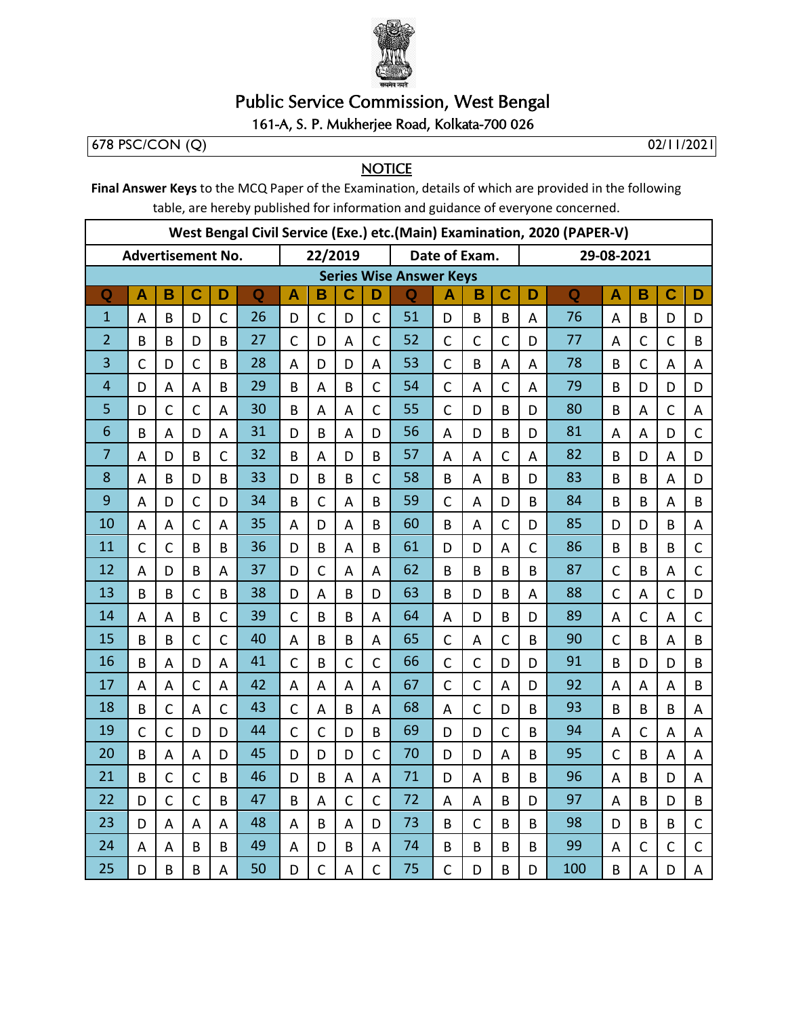

## **Public Service Commission, West Bengal**

## 161-A, S. P. Mukherjee Road, Kolkata-700 026

678 PSC/CON (Q)

02/11/2021

**NOTICE** 

Final Answer Keys to the MCQ Paper of the Examination, details of which are provided in the following table, are hereby published for information and guidance of everyone concerned.

| West Bengal Civil Service (Exe.) etc.(Main) Examination, 2020 (PAPER-V) |                          |                |              |                |                         |                |                                |              |                |             |                |              |                |            |             |              |                |                |                |  |
|-------------------------------------------------------------------------|--------------------------|----------------|--------------|----------------|-------------------------|----------------|--------------------------------|--------------|----------------|-------------|----------------|--------------|----------------|------------|-------------|--------------|----------------|----------------|----------------|--|
|                                                                         | <b>Advertisement No.</b> |                |              |                |                         |                | 22/2019                        |              |                |             | Date of Exam.  |              |                | 29-08-2021 |             |              |                |                |                |  |
|                                                                         |                          |                |              |                |                         |                | <b>Series Wise Answer Keys</b> |              |                |             |                |              |                |            |             |              |                |                |                |  |
| $\mathbf Q$                                                             | A                        | B              | $\mathbf C$  | D              | $\overline{\mathbf{Q}}$ | A              | B                              | C            | D              | $\mathbf Q$ | A              | B            | $\mathbf C$    | D          | $\mathbf Q$ | A            | B              | C              | D              |  |
| $\mathbf{1}$                                                            | A                        | B              | D            | $\overline{C}$ | 26                      | D              | $\mathsf{C}$                   | D            | $\mathsf{C}$   | 51          | D              | B            | B              | Α          | 76          | A            | B              | D              | D              |  |
| $\overline{2}$                                                          | B                        | B              | D            | B              | 27                      | $\mathsf{C}$   | D                              | A            | $\mathsf{C}$   | 52          | $\mathsf{C}$   | $\mathsf{C}$ | $\mathsf{C}$   | D          | 77          | A            | $\mathsf{C}$   | $\mathsf{C}$   | B              |  |
| 3                                                                       | $\mathsf{C}$             | D              | $\mathsf{C}$ | B              | 28                      | A              | D                              | D            | A              | 53          | $\mathsf{C}$   | B            | A              | A          | 78          | B            | $\mathsf{C}$   | A              | A              |  |
| $\overline{4}$                                                          | D                        | A              | A            | B              | 29                      | B              | A                              | B            | $\mathsf{C}$   | 54          | $\mathsf{C}$   | A            | $\mathsf{C}$   | A          | 79          | B            | D              | D              | D              |  |
| 5                                                                       | D                        | $\mathsf{C}$   | $\mathsf{C}$ | A              | 30                      | B              | A                              | A            | $\mathsf{C}$   | 55          | $\mathsf{C}$   | D            | B              | D          | 80          | B            | A              | $\mathsf{C}$   | A              |  |
| 6                                                                       | B                        | A              | D            | A              | 31                      | D              | B                              | A            | D              | 56          | A              | D            | B              | D          | 81          | A            | $\overline{A}$ | D              | $\overline{C}$ |  |
| $\overline{7}$                                                          | A                        | D              | B            | $\mathsf{C}$   | 32                      | B              | A                              | D            | B              | 57          | A              | A            | $\mathsf{C}$   | A          | 82          | B            | D              | A              | D              |  |
| 8                                                                       | A                        | B              | D            | B              | 33                      | D              | B                              | B            | $\mathsf{C}$   | 58          | B              | A            | B              | D          | 83          | B            | B              | A              | D              |  |
| 9                                                                       | A                        | D              | $\mathsf{C}$ | D              | 34                      | B              | $\mathsf{C}$                   | A            | B              | 59          | $\mathsf{C}$   | A            | D              | B          | 84          | B            | B              | A              | B              |  |
| 10                                                                      | A                        | A              | $\mathsf{C}$ | A              | 35                      | A              | D                              | A            | B              | 60          | B              | A            | $\mathsf{C}$   | D          | 85          | D            | D              | B              | A              |  |
| 11                                                                      | $\mathsf{C}$             | $\mathsf{C}$   | B            | B              | 36                      | D              | B                              | A            | B              | 61          | D              | D            | A              | C          | 86          | B            | B              | B              | $\mathsf{C}$   |  |
| 12                                                                      | A                        | D              | B            | A              | 37                      | D              | $\mathsf{C}$                   | A            | $\overline{A}$ | 62          | B              | B            | B              | B          | 87          | $\mathsf{C}$ | B              | $\overline{A}$ | $\mathsf{C}$   |  |
| 13                                                                      | B                        | B              | C            | B              | 38                      | D              | A                              | B            | D              | 63          | B              | D            | B              | A          | 88          | $\mathsf{C}$ | A              | $\mathsf{C}$   | D              |  |
| 14                                                                      | A                        | А              | B            | $\overline{C}$ | 39                      | $\mathsf{C}$   | B                              | B            | A              | 64          | A              | D            | B              | D          | 89          | A            | $\mathsf{C}$   | A              | $\mathsf{C}$   |  |
| 15                                                                      | B                        | B              | $\mathsf{C}$ | $\mathsf{C}$   | 40                      | A              | B                              | B            | A              | 65          | $\mathsf{C}$   | A            | $\mathsf{C}$   | B          | 90          | $\mathsf{C}$ | B              | A              | B              |  |
| 16                                                                      | B                        | A              | D            | A              | 41                      | $\mathsf{C}$   | B                              | $\mathsf{C}$ | $\mathsf{C}$   | 66          | $\mathsf C$    | $\mathsf C$  | D              | D          | 91          | B            | D              | D              | B              |  |
| 17                                                                      | А                        | A              | $\mathsf{C}$ | A              | 42                      | A              | A                              | A            | A              | 67          | $\mathsf{C}$   | $\mathsf{C}$ | A              | D          | 92          | A            | A              | A              | B              |  |
| 18                                                                      | B                        | $\mathsf{C}$   | A            | $\mathsf{C}$   | 43                      | C              | A                              | B            | A              | 68          | A              | $\mathsf{C}$ | D              | B          | 93          | B            | B              | B              | A              |  |
| 19                                                                      | $\mathsf{C}$             | $\overline{C}$ | D            | D              | 44                      | $\overline{C}$ | $\mathsf{C}$                   | D            | B              | 69          | D              | D            | $\overline{C}$ | B          | 94          | A            | $\mathsf{C}$   | A              | A              |  |
| 20                                                                      | B                        | $\overline{A}$ | A            | D              | 45                      | D              | D                              | D            | $\mathsf{C}$   | 70          | D              | D            | A              | B          | 95          | $\mathsf{C}$ | B              | A              | Α              |  |
| 21                                                                      | B                        | $\mathsf{C}$   | C            | B              | 46                      | D              | B                              | A            | A              | 71          | D              | A            | B              | B          | 96          | A            | B              | D              | A              |  |
| 22                                                                      | D                        | $\mathsf{C}$   | $\mathsf{C}$ | B              | 47                      | B              | A                              | $\mathsf{C}$ | $\mathsf{C}$   | 72          | A              | A            | B              | D          | 97          | A            | B              | D              | B              |  |
| 23                                                                      | D                        | A              | A            | A              | 48                      | A              | B                              | A            | D              | 73          | B              | $\mathsf{C}$ | B              | B          | 98          | D            | B              | B              | $\mathsf{C}$   |  |
| 24                                                                      | A                        | A              | B            | B              | 49                      | A              | D                              | B            | A              | 74          | B              | B            | B              | B          | 99          | A            | $\mathsf{C}$   | $\mathsf C$    | $\mathsf{C}$   |  |
| 25                                                                      | D                        | B              | B            | A              | 50                      | D              | $\mathsf{C}$                   | A            | $\mathsf{C}$   | 75          | $\overline{C}$ | D            | B              | D          | 100         | B            | $\overline{A}$ | D              | A              |  |